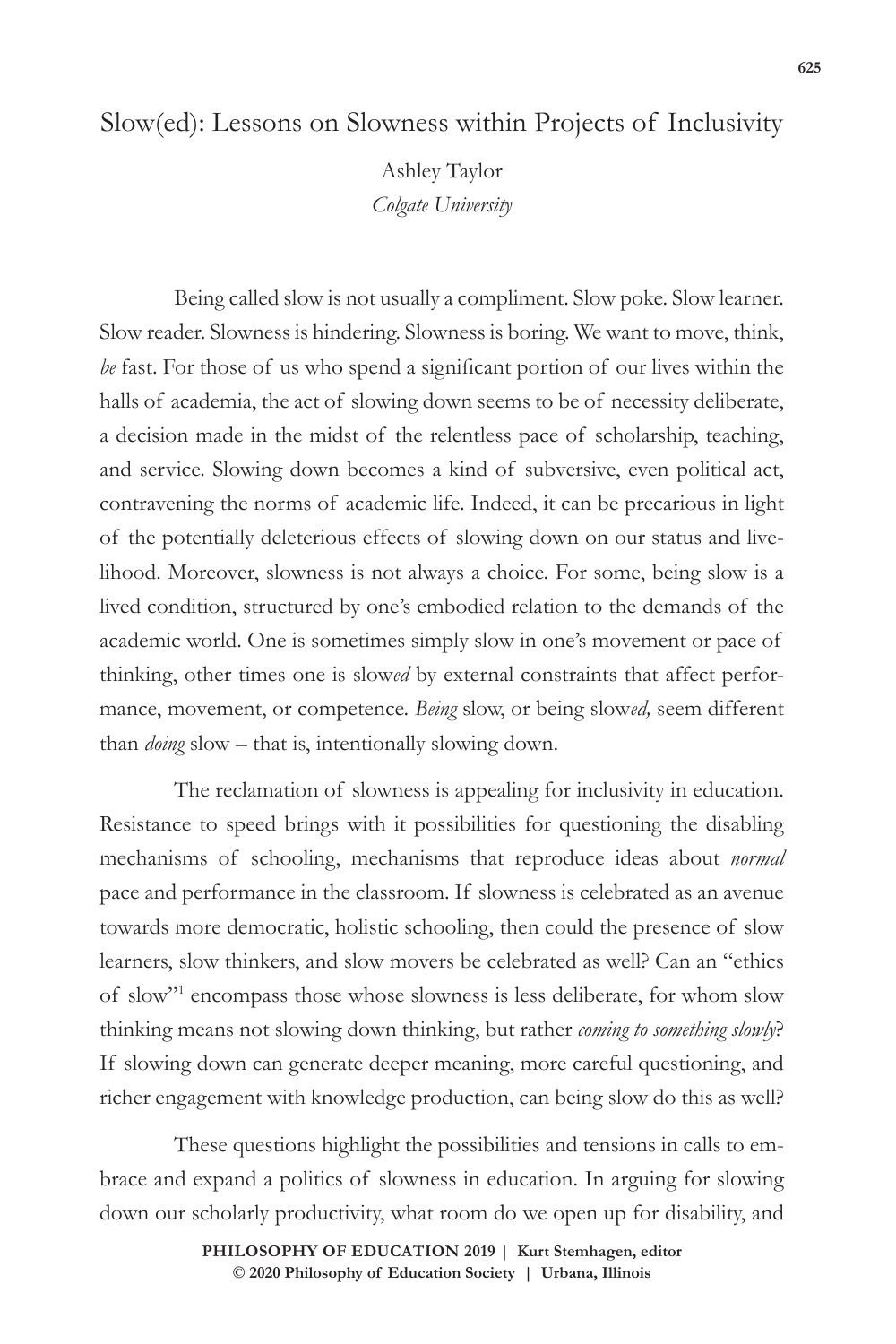# Slow(ed): Lessons on Slowness within Projects of Inclusivity

Ashley Taylor *Colgate University*

Being called slow is not usually a compliment. Slow poke. Slow learner. Slow reader. Slowness is hindering. Slowness is boring. We want to move, think, *be* fast. For those of us who spend a significant portion of our lives within the halls of academia, the act of slowing down seems to be of necessity deliberate, a decision made in the midst of the relentless pace of scholarship, teaching, and service. Slowing down becomes a kind of subversive, even political act, contravening the norms of academic life. Indeed, it can be precarious in light of the potentially deleterious effects of slowing down on our status and livelihood. Moreover, slowness is not always a choice. For some, being slow is a lived condition, structured by one's embodied relation to the demands of the academic world. One is sometimes simply slow in one's movement or pace of thinking, other times one is slow*ed* by external constraints that affect performance, movement, or competence. *Being* slow, or being slow*ed,* seem different than *doing* slow – that is, intentionally slowing down.

The reclamation of slowness is appealing for inclusivity in education. Resistance to speed brings with it possibilities for questioning the disabling mechanisms of schooling, mechanisms that reproduce ideas about *normal* pace and performance in the classroom. If slowness is celebrated as an avenue towards more democratic, holistic schooling, then could the presence of slow learners, slow thinkers, and slow movers be celebrated as well? Can an "ethics of slow"1 encompass those whose slowness is less deliberate, for whom slow thinking means not slowing down thinking, but rather *coming to something slowly*? If slowing down can generate deeper meaning, more careful questioning, and richer engagement with knowledge production, can being slow do this as well?

These questions highlight the possibilities and tensions in calls to embrace and expand a politics of slowness in education. In arguing for slowing down our scholarly productivity, what room do we open up for disability, and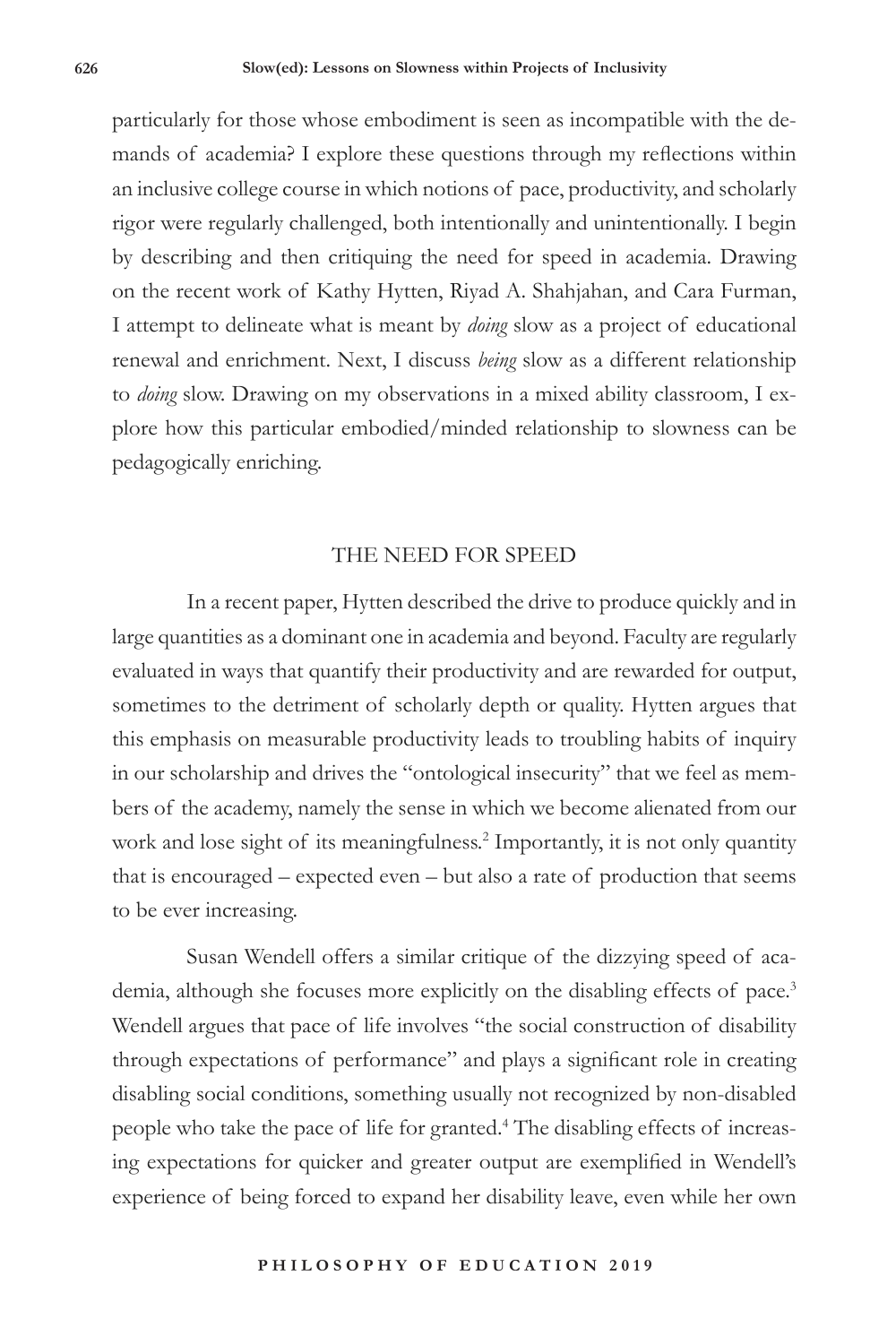particularly for those whose embodiment is seen as incompatible with the demands of academia? I explore these questions through my reflections within an inclusive college course in which notions of pace, productivity, and scholarly rigor were regularly challenged, both intentionally and unintentionally. I begin by describing and then critiquing the need for speed in academia. Drawing on the recent work of Kathy Hytten, Riyad A. Shahjahan, and Cara Furman, I attempt to delineate what is meant by *doing* slow as a project of educational renewal and enrichment. Next, I discuss *being* slow as a different relationship to *doing* slow. Drawing on my observations in a mixed ability classroom, I explore how this particular embodied/minded relationship to slowness can be pedagogically enriching.

### THE NEED FOR SPEED

In a recent paper, Hytten described the drive to produce quickly and in large quantities as a dominant one in academia and beyond. Faculty are regularly evaluated in ways that quantify their productivity and are rewarded for output, sometimes to the detriment of scholarly depth or quality. Hytten argues that this emphasis on measurable productivity leads to troubling habits of inquiry in our scholarship and drives the "ontological insecurity" that we feel as members of the academy, namely the sense in which we become alienated from our work and lose sight of its meaningfulness.<sup>2</sup> Importantly, it is not only quantity that is encouraged – expected even – but also a rate of production that seems to be ever increasing.

Susan Wendell offers a similar critique of the dizzying speed of academia, although she focuses more explicitly on the disabling effects of pace.<sup>3</sup> Wendell argues that pace of life involves "the social construction of disability through expectations of performance" and plays a significant role in creating disabling social conditions, something usually not recognized by non-disabled people who take the pace of life for granted.4 The disabling effects of increasing expectations for quicker and greater output are exemplified in Wendell's experience of being forced to expand her disability leave, even while her own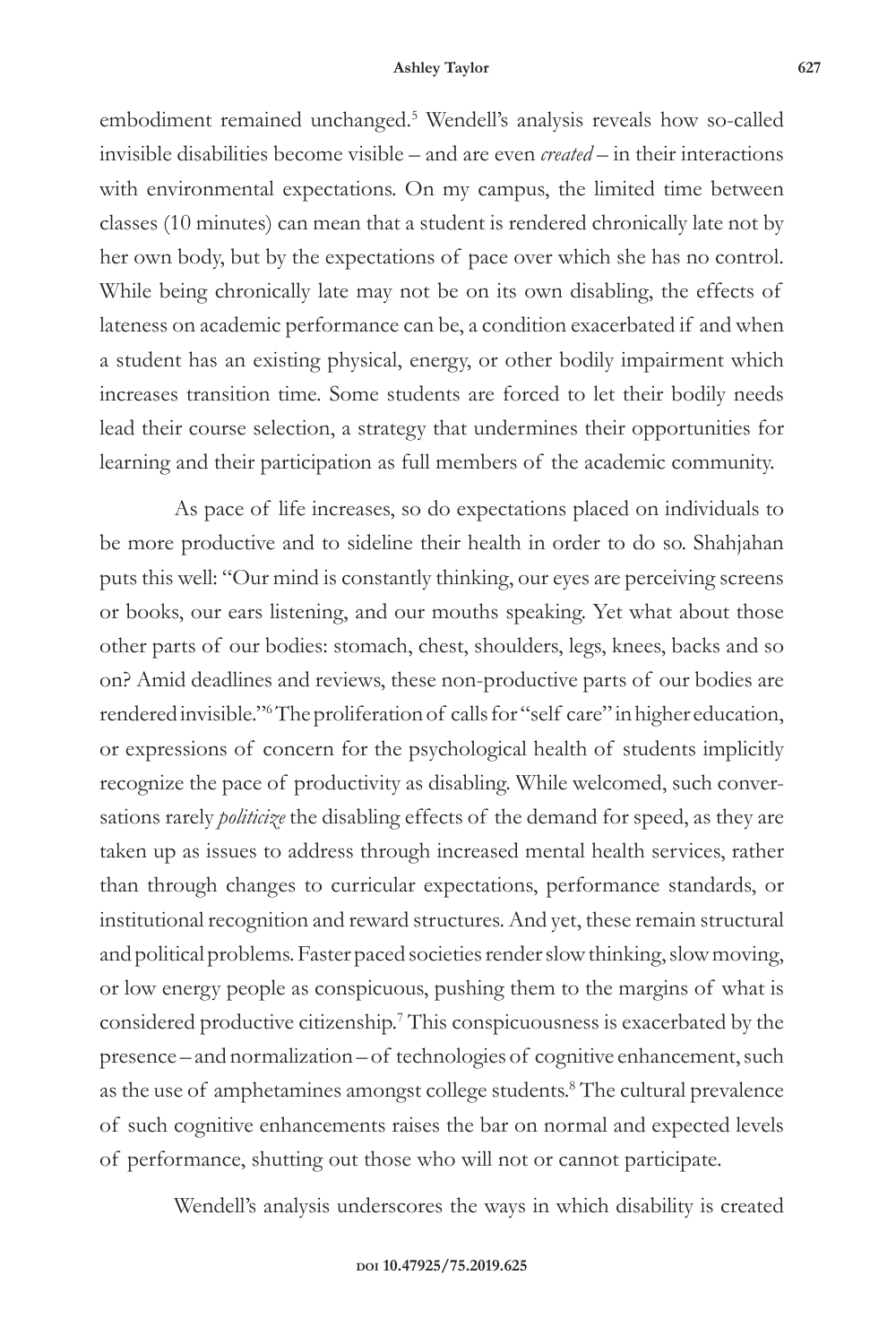embodiment remained unchanged.5 Wendell's analysis reveals how so-called invisible disabilities become visible – and are even *created* – in their interactions with environmental expectations. On my campus, the limited time between classes (10 minutes) can mean that a student is rendered chronically late not by her own body, but by the expectations of pace over which she has no control. While being chronically late may not be on its own disabling, the effects of lateness on academic performance can be, a condition exacerbated if and when a student has an existing physical, energy, or other bodily impairment which increases transition time. Some students are forced to let their bodily needs lead their course selection, a strategy that undermines their opportunities for learning and their participation as full members of the academic community.

As pace of life increases, so do expectations placed on individuals to be more productive and to sideline their health in order to do so. Shahjahan puts this well: "Our mind is constantly thinking, our eyes are perceiving screens or books, our ears listening, and our mouths speaking. Yet what about those other parts of our bodies: stomach, chest, shoulders, legs, knees, backs and so on? Amid deadlines and reviews, these non-productive parts of our bodies are rendered invisible."6 The proliferation of calls for "self care" in higher education, or expressions of concern for the psychological health of students implicitly recognize the pace of productivity as disabling. While welcomed, such conversations rarely *politicize* the disabling effects of the demand for speed, as they are taken up as issues to address through increased mental health services, rather than through changes to curricular expectations, performance standards, or institutional recognition and reward structures. And yet, these remain structural and political problems.Faster paced societies render slow thinking, slow moving, or low energy people as conspicuous, pushing them to the margins of what is considered productive citizenship.7 This conspicuousness is exacerbated by the presence – and normalization – of technologies of cognitive enhancement, such as the use of amphetamines amongst college students.<sup>8</sup> The cultural prevalence of such cognitive enhancements raises the bar on normal and expected levels of performance, shutting out those who will not or cannot participate.

Wendell's analysis underscores the ways in which disability is created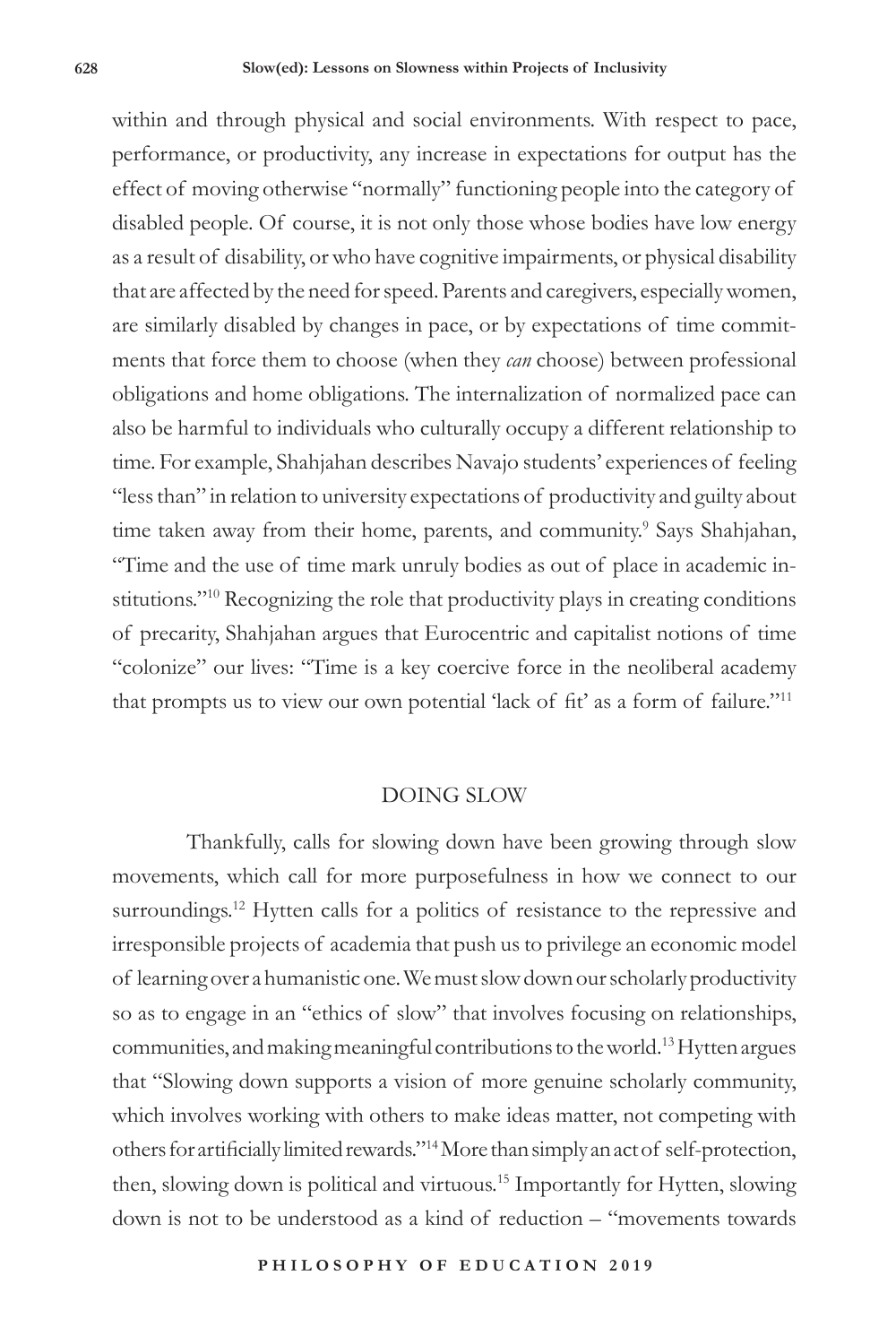within and through physical and social environments. With respect to pace, performance, or productivity, any increase in expectations for output has the effect of moving otherwise "normally" functioning people into the category of disabled people. Of course, it is not only those whose bodies have low energy as a result of disability, or who have cognitive impairments, or physical disability that are affected by the need for speed. Parents and caregivers, especially women, are similarly disabled by changes in pace, or by expectations of time commitments that force them to choose (when they *can* choose) between professional obligations and home obligations. The internalization of normalized pace can also be harmful to individuals who culturally occupy a different relationship to time. For example, Shahjahan describes Navajo students' experiences of feeling "less than" in relation to university expectations of productivity and guilty about time taken away from their home, parents, and community.<sup>9</sup> Says Shahjahan, "Time and the use of time mark unruly bodies as out of place in academic institutions."<sup>10</sup> Recognizing the role that productivity plays in creating conditions of precarity, Shahjahan argues that Eurocentric and capitalist notions of time "colonize" our lives: "Time is a key coercive force in the neoliberal academy that prompts us to view our own potential 'lack of fit' as a form of failure."<sup>11</sup>

### DOING SLOW

Thankfully, calls for slowing down have been growing through slow movements, which call for more purposefulness in how we connect to our surroundings.<sup>12</sup> Hytten calls for a politics of resistance to the repressive and irresponsible projects of academia that push us to privilege an economic model of learning over a humanistic one. We must slow down our scholarly productivity so as to engage in an "ethics of slow" that involves focusing on relationships, communities, and making meaningful contributions to the world.13 Hytten argues that "Slowing down supports a vision of more genuine scholarly community, which involves working with others to make ideas matter, not competing with others for artificially limited rewards."14 More than simply an act of self-protection, then, slowing down is political and virtuous.15 Importantly for Hytten, slowing down is not to be understood as a kind of reduction – "movements towards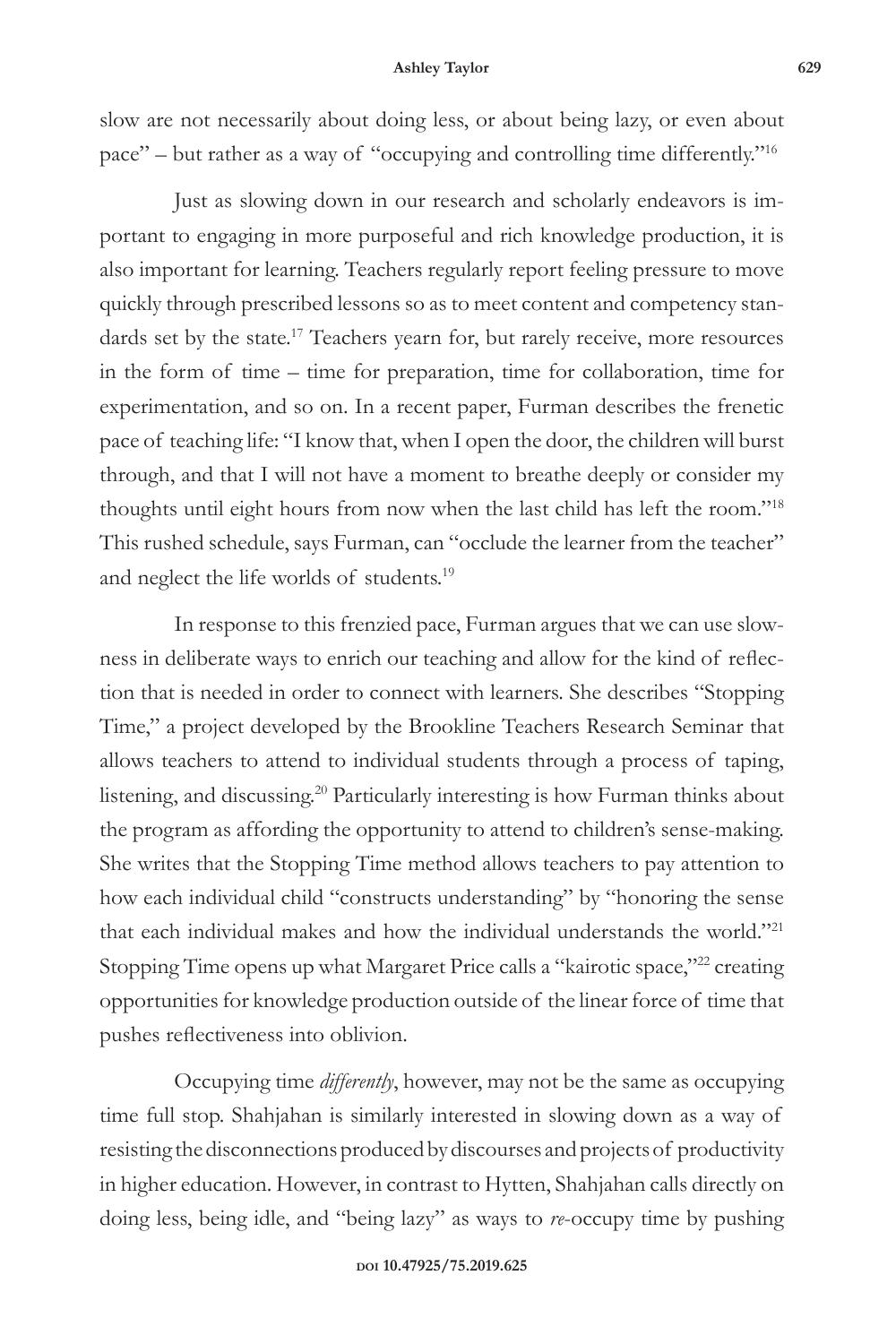#### **Ashley Taylor 629**

slow are not necessarily about doing less, or about being lazy, or even about pace" – but rather as a way of "occupying and controlling time differently."16

Just as slowing down in our research and scholarly endeavors is important to engaging in more purposeful and rich knowledge production, it is also important for learning. Teachers regularly report feeling pressure to move quickly through prescribed lessons so as to meet content and competency standards set by the state.<sup>17</sup> Teachers yearn for, but rarely receive, more resources in the form of time – time for preparation, time for collaboration, time for experimentation, and so on. In a recent paper, Furman describes the frenetic pace of teaching life: "I know that, when I open the door, the children will burst through, and that I will not have a moment to breathe deeply or consider my thoughts until eight hours from now when the last child has left the room."18 This rushed schedule, says Furman, can "occlude the learner from the teacher" and neglect the life worlds of students.<sup>19</sup>

In response to this frenzied pace, Furman argues that we can use slowness in deliberate ways to enrich our teaching and allow for the kind of reflection that is needed in order to connect with learners. She describes "Stopping Time," a project developed by the Brookline Teachers Research Seminar that allows teachers to attend to individual students through a process of taping, listening, and discussing.<sup>20</sup> Particularly interesting is how Furman thinks about the program as affording the opportunity to attend to children's sense-making. She writes that the Stopping Time method allows teachers to pay attention to how each individual child "constructs understanding" by "honoring the sense that each individual makes and how the individual understands the world."<sup>21</sup> Stopping Time opens up what Margaret Price calls a "kairotic space,"<sup>22</sup> creating opportunities for knowledge production outside of the linear force of time that pushes reflectiveness into oblivion.

Occupying time *differently*, however, may not be the same as occupying time full stop. Shahjahan is similarly interested in slowing down as a way of resisting the disconnections produced by discourses and projects of productivity in higher education. However, in contrast to Hytten, Shahjahan calls directly on doing less, being idle, and "being lazy" as ways to *re*-occupy time by pushing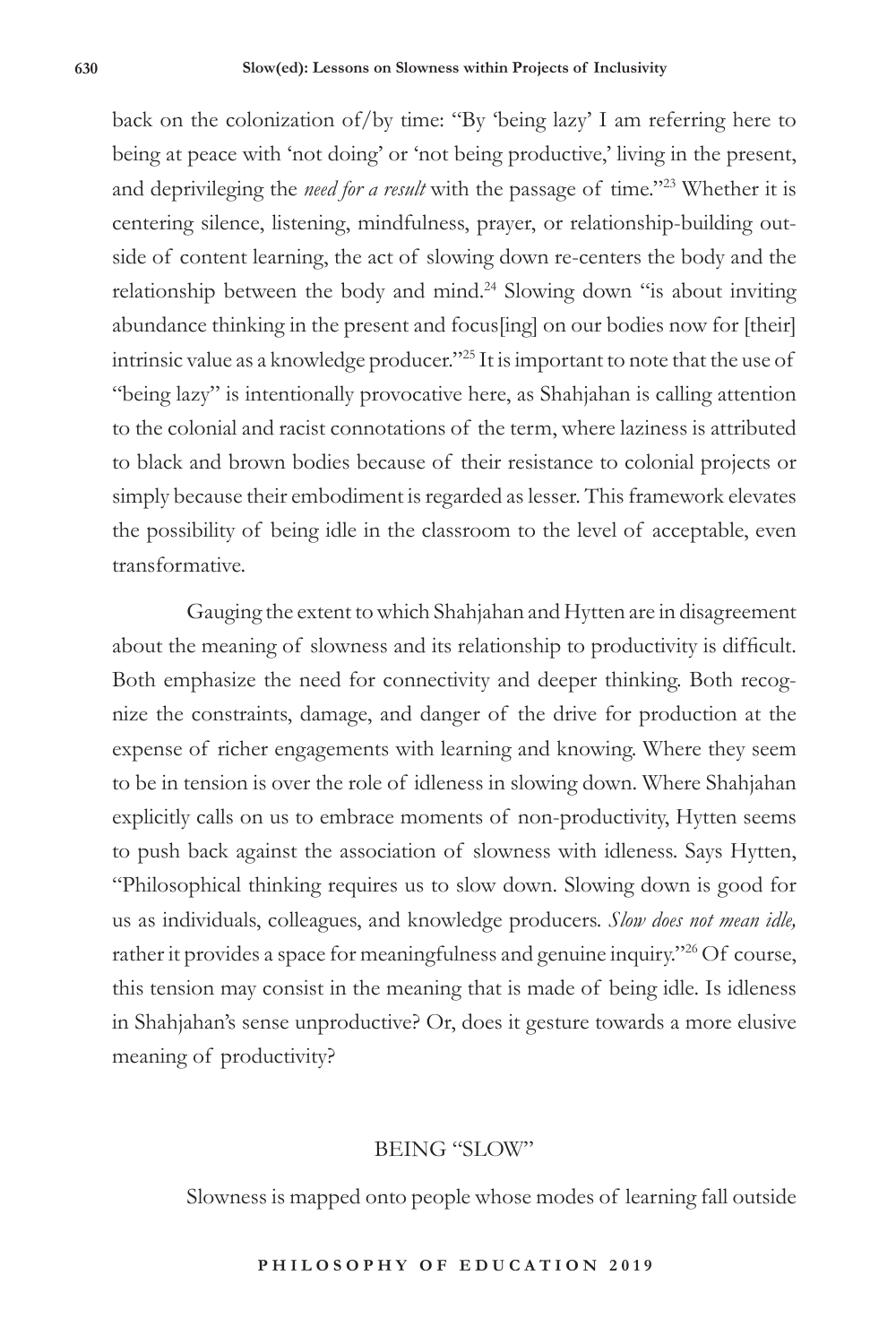back on the colonization of/by time: "By 'being lazy' I am referring here to being at peace with 'not doing' or 'not being productive,' living in the present, and deprivileging the *need for a result* with the passage of time."23 Whether it is centering silence, listening, mindfulness, prayer, or relationship-building outside of content learning, the act of slowing down re-centers the body and the relationship between the body and mind.<sup>24</sup> Slowing down "is about inviting abundance thinking in the present and focus[ing] on our bodies now for [their] intrinsic value as a knowledge producer."25 It is important to note that the use of "being lazy" is intentionally provocative here, as Shahjahan is calling attention to the colonial and racist connotations of the term, where laziness is attributed to black and brown bodies because of their resistance to colonial projects or simply because their embodiment is regarded as lesser. This framework elevates the possibility of being idle in the classroom to the level of acceptable, even transformative.

Gauging the extent to which Shahjahan and Hytten are in disagreement about the meaning of slowness and its relationship to productivity is difficult. Both emphasize the need for connectivity and deeper thinking. Both recognize the constraints, damage, and danger of the drive for production at the expense of richer engagements with learning and knowing. Where they seem to be in tension is over the role of idleness in slowing down. Where Shahjahan explicitly calls on us to embrace moments of non-productivity, Hytten seems to push back against the association of slowness with idleness. Says Hytten, "Philosophical thinking requires us to slow down. Slowing down is good for us as individuals, colleagues, and knowledge producers. *Slow does not mean idle,*  rather it provides a space for meaningfulness and genuine inquiry."<sup>26</sup> Of course, this tension may consist in the meaning that is made of being idle. Is idleness in Shahjahan's sense unproductive? Or, does it gesture towards a more elusive meaning of productivity?

### BEING "SLOW"

Slowness is mapped onto people whose modes of learning fall outside

#### **P H I L O S O P H Y O F E D U C A T I O N 2 0 1 9**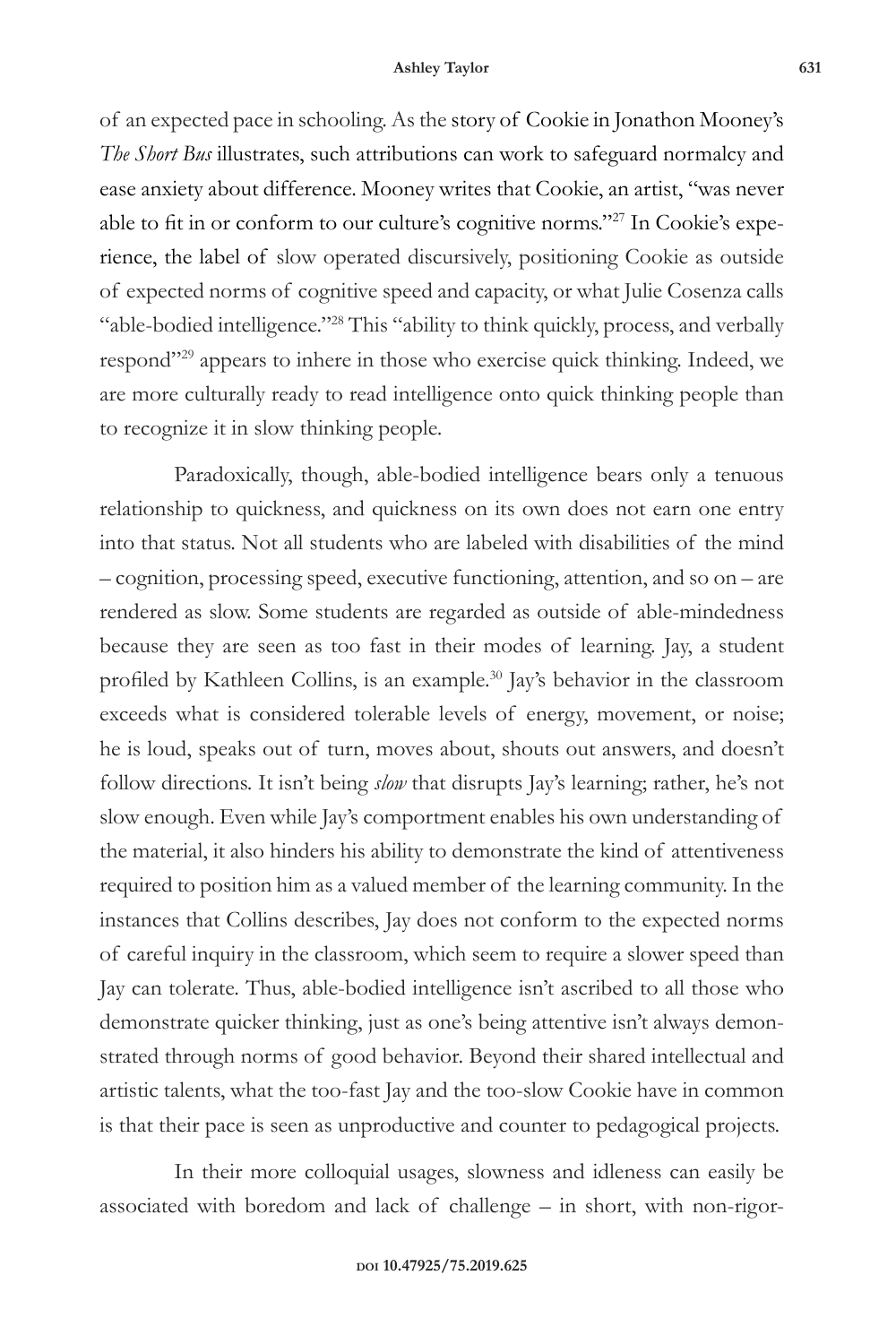of an expected pace in schooling. As the story of Cookie in Jonathon Mooney's *The Short Bus* illustrates, such attributions can work to safeguard normalcy and ease anxiety about difference. Mooney writes that Cookie, an artist, "was never able to fit in or conform to our culture's cognitive norms."27 In Cookie's experience, the label of slow operated discursively, positioning Cookie as outside of expected norms of cognitive speed and capacity, or what Julie Cosenza calls "able-bodied intelligence."28 This "ability to think quickly, process, and verbally respond"<sup>29</sup> appears to inhere in those who exercise quick thinking. Indeed, we are more culturally ready to read intelligence onto quick thinking people than to recognize it in slow thinking people.

Paradoxically, though, able-bodied intelligence bears only a tenuous relationship to quickness, and quickness on its own does not earn one entry into that status. Not all students who are labeled with disabilities of the mind – cognition, processing speed, executive functioning, attention, and so on – are rendered as slow. Some students are regarded as outside of able-mindedness because they are seen as too fast in their modes of learning. Jay, a student profiled by Kathleen Collins, is an example.30 Jay's behavior in the classroom exceeds what is considered tolerable levels of energy, movement, or noise; he is loud, speaks out of turn, moves about, shouts out answers, and doesn't follow directions. It isn't being *slow* that disrupts Jay's learning; rather, he's not slow enough. Even while Jay's comportment enables his own understanding of the material, it also hinders his ability to demonstrate the kind of attentiveness required to position him as a valued member of the learning community. In the instances that Collins describes, Jay does not conform to the expected norms of careful inquiry in the classroom, which seem to require a slower speed than Jay can tolerate. Thus, able-bodied intelligence isn't ascribed to all those who demonstrate quicker thinking, just as one's being attentive isn't always demonstrated through norms of good behavior. Beyond their shared intellectual and artistic talents, what the too-fast Jay and the too-slow Cookie have in common is that their pace is seen as unproductive and counter to pedagogical projects.

In their more colloquial usages, slowness and idleness can easily be associated with boredom and lack of challenge – in short, with non-rigor-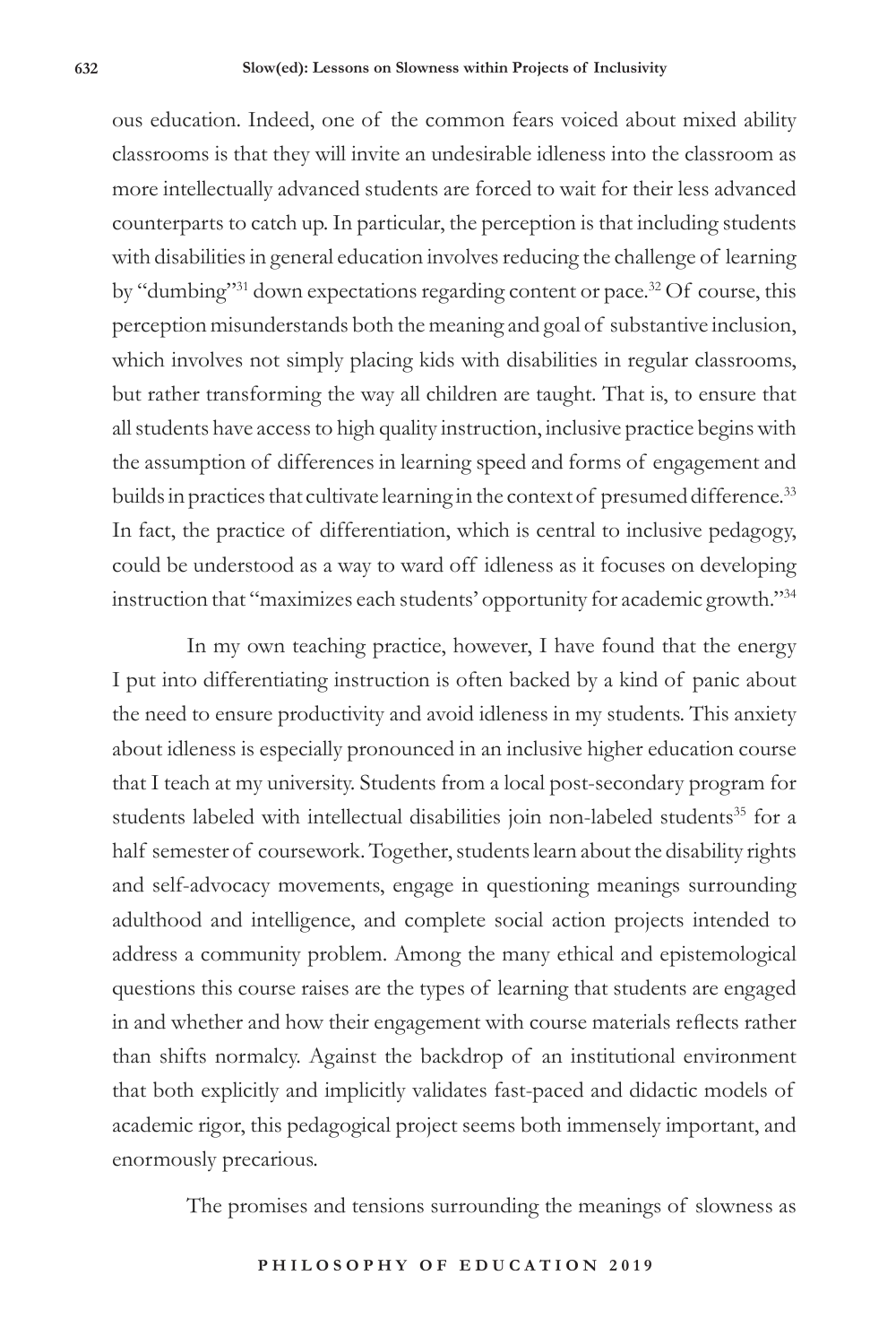ous education. Indeed, one of the common fears voiced about mixed ability classrooms is that they will invite an undesirable idleness into the classroom as more intellectually advanced students are forced to wait for their less advanced counterparts to catch up. In particular, the perception is that including students with disabilities in general education involves reducing the challenge of learning by "dumbing"<sup>31</sup> down expectations regarding content or pace.<sup>32</sup> Of course, this perception misunderstands both the meaning and goal of substantive inclusion, which involves not simply placing kids with disabilities in regular classrooms, but rather transforming the way all children are taught. That is, to ensure that all students have access to high quality instruction, inclusive practice begins with the assumption of differences in learning speed and forms of engagement and builds in practices that cultivate learning in the context of presumed difference.<sup>33</sup> In fact, the practice of differentiation, which is central to inclusive pedagogy, could be understood as a way to ward off idleness as it focuses on developing instruction that "maximizes each students' opportunity for academic growth."34

In my own teaching practice, however, I have found that the energy I put into differentiating instruction is often backed by a kind of panic about the need to ensure productivity and avoid idleness in my students. This anxiety about idleness is especially pronounced in an inclusive higher education course that I teach at my university. Students from a local post-secondary program for students labeled with intellectual disabilities join non-labeled students<sup>35</sup> for a half semester of coursework. Together, students learn about the disability rights and self-advocacy movements, engage in questioning meanings surrounding adulthood and intelligence, and complete social action projects intended to address a community problem. Among the many ethical and epistemological questions this course raises are the types of learning that students are engaged in and whether and how their engagement with course materials reflects rather than shifts normalcy. Against the backdrop of an institutional environment that both explicitly and implicitly validates fast-paced and didactic models of academic rigor, this pedagogical project seems both immensely important, and enormously precarious.

The promises and tensions surrounding the meanings of slowness as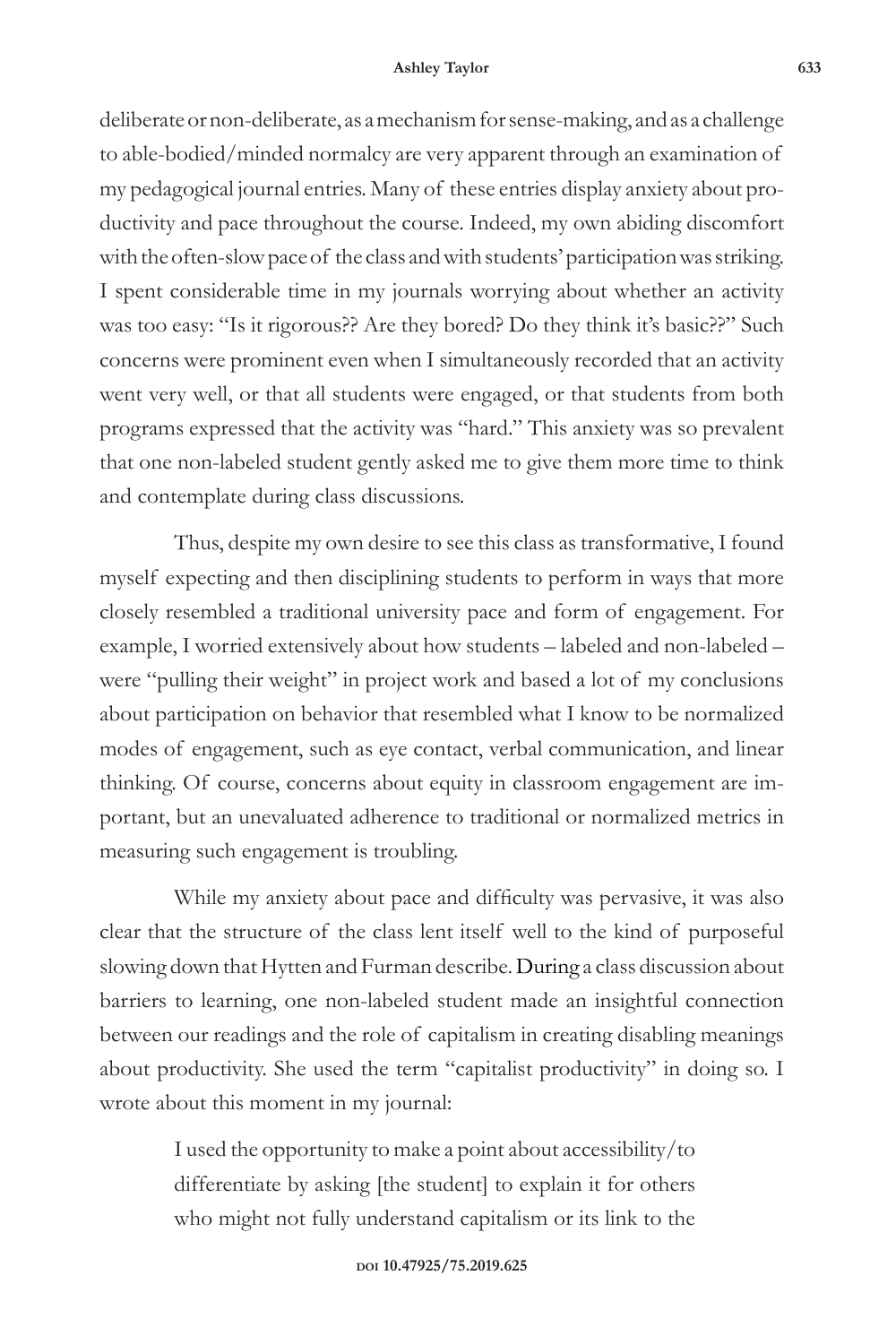#### **Ashley Taylor 633**

deliberate or non-deliberate, as a mechanism for sense-making, and as a challenge to able-bodied/minded normalcy are very apparent through an examination of my pedagogical journal entries. Many of these entries display anxiety about productivity and pace throughout the course. Indeed, my own abiding discomfort with the often-slow pace of the class and with students' participation was striking. I spent considerable time in my journals worrying about whether an activity was too easy: "Is it rigorous?? Are they bored? Do they think it's basic??" Such concerns were prominent even when I simultaneously recorded that an activity went very well, or that all students were engaged, or that students from both programs expressed that the activity was "hard." This anxiety was so prevalent that one non-labeled student gently asked me to give them more time to think and contemplate during class discussions.

Thus, despite my own desire to see this class as transformative, I found myself expecting and then disciplining students to perform in ways that more closely resembled a traditional university pace and form of engagement. For example, I worried extensively about how students – labeled and non-labeled – were "pulling their weight" in project work and based a lot of my conclusions about participation on behavior that resembled what I know to be normalized modes of engagement, such as eye contact, verbal communication, and linear thinking. Of course, concerns about equity in classroom engagement are important, but an unevaluated adherence to traditional or normalized metrics in measuring such engagement is troubling.

While my anxiety about pace and difficulty was pervasive, it was also clear that the structure of the class lent itself well to the kind of purposeful slowing down that Hytten and Furman describe. During a class discussion about barriers to learning, one non-labeled student made an insightful connection between our readings and the role of capitalism in creating disabling meanings about productivity. She used the term "capitalist productivity" in doing so. I wrote about this moment in my journal:

> I used the opportunity to make a point about accessibility/to differentiate by asking [the student] to explain it for others who might not fully understand capitalism or its link to the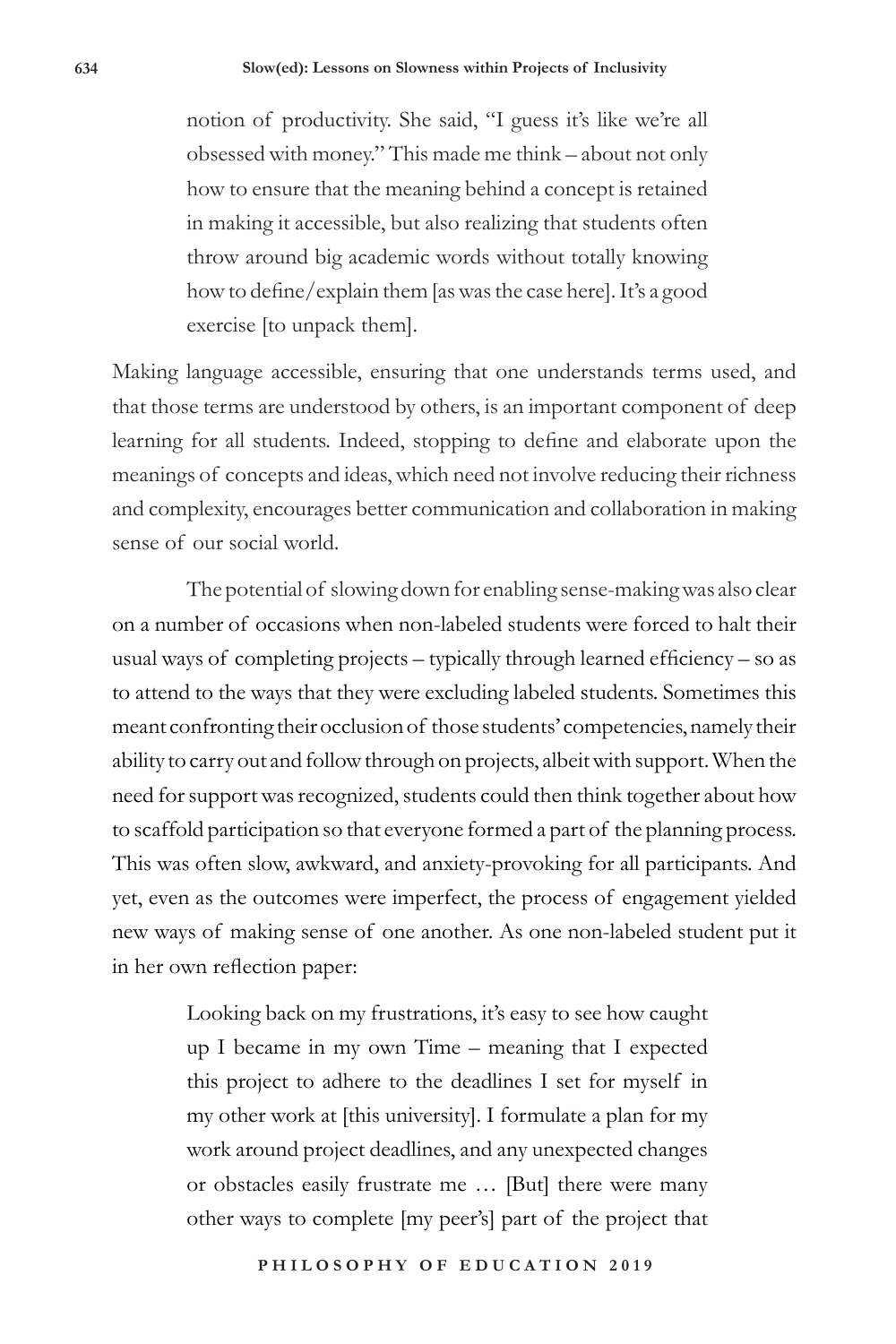notion of productivity. She said, "I guess it's like we're all obsessed with money." This made me think – about not only how to ensure that the meaning behind a concept is retained in making it accessible, but also realizing that students often throw around big academic words without totally knowing how to define/explain them [as was the case here]. It's a good exercise [to unpack them].

Making language accessible, ensuring that one understands terms used, and that those terms are understood by others, is an important component of deep learning for all students. Indeed, stopping to define and elaborate upon the meanings of concepts and ideas, which need not involve reducing their richness and complexity, encourages better communication and collaboration in making sense of our social world.

The potential of slowing down for enabling sense-making was also clear on a number of occasions when non-labeled students were forced to halt their usual ways of completing projects – typically through learned efficiency – so as to attend to the ways that they were excluding labeled students. Sometimes this meant confronting their occlusion of those students' competencies, namely their ability to carry out and follow through on projects, albeit with support. When the need for support was recognized, students could then think together about how to scaffold participation so that everyone formed a part of the planning process. This was often slow, awkward, and anxiety-provoking for all participants. And yet, even as the outcomes were imperfect, the process of engagement yielded new ways of making sense of one another. As one non-labeled student put it in her own reflection paper:

> Looking back on my frustrations, it's easy to see how caught up I became in my own Time – meaning that I expected this project to adhere to the deadlines I set for myself in my other work at [this university]. I formulate a plan for my work around project deadlines, and any unexpected changes or obstacles easily frustrate me … [But] there were many other ways to complete [my peer's] part of the project that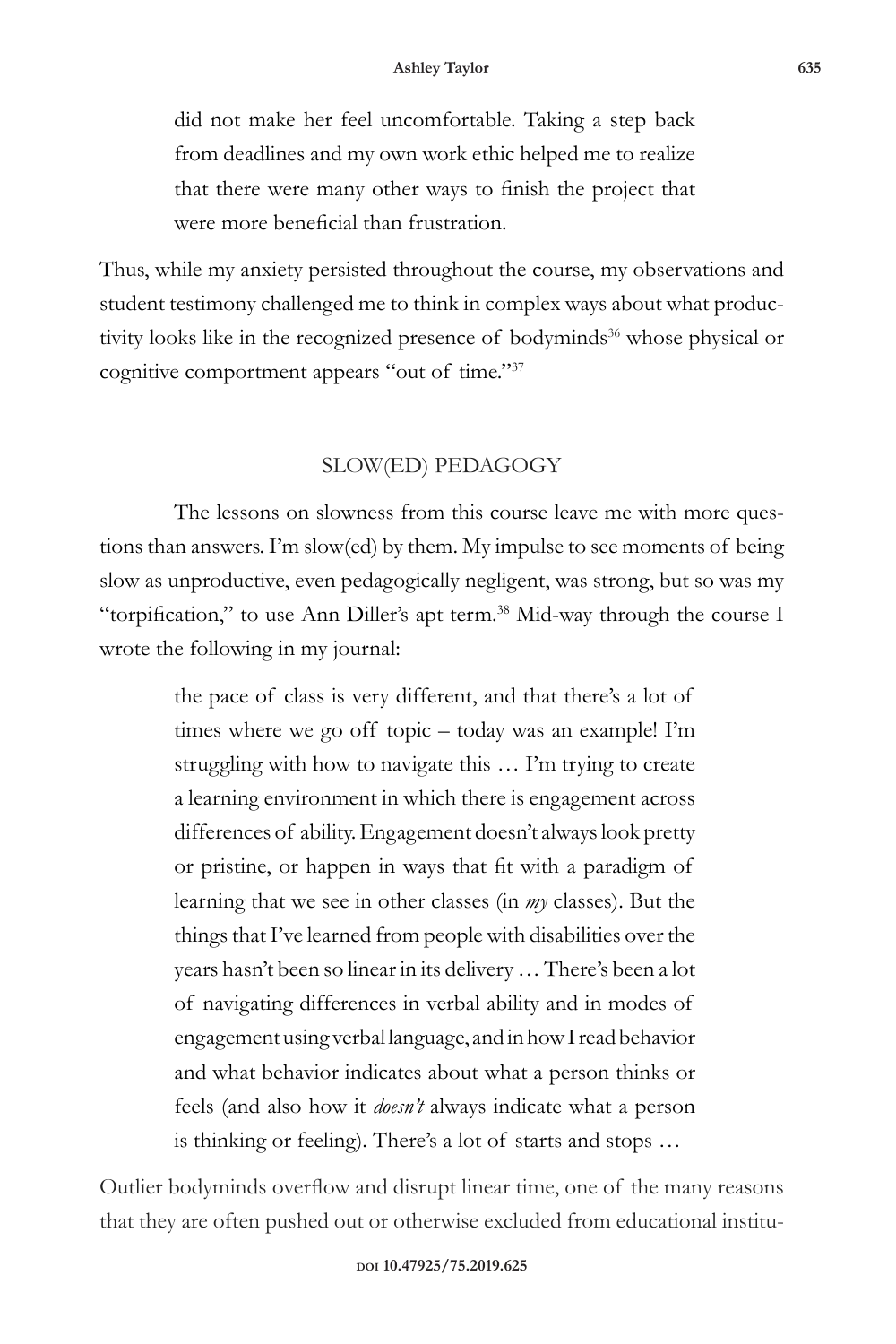did not make her feel uncomfortable. Taking a step back from deadlines and my own work ethic helped me to realize that there were many other ways to finish the project that were more beneficial than frustration.

Thus, while my anxiety persisted throughout the course, my observations and student testimony challenged me to think in complex ways about what productivity looks like in the recognized presence of bodyminds<sup>36</sup> whose physical or cognitive comportment appears "out of time."37

## SLOW(ED) PEDAGOGY

The lessons on slowness from this course leave me with more questions than answers. I'm slow(ed) by them. My impulse to see moments of being slow as unproductive, even pedagogically negligent, was strong, but so was my "torpification," to use Ann Diller's apt term. $38$  Mid-way through the course I wrote the following in my journal:

> the pace of class is very different, and that there's a lot of times where we go off topic – today was an example! I'm struggling with how to navigate this … I'm trying to create a learning environment in which there is engagement across differences of ability. Engagement doesn't always look pretty or pristine, or happen in ways that fit with a paradigm of learning that we see in other classes (in *my* classes). But the things that I've learned from people with disabilities over the years hasn't been so linear in its delivery … There's been a lot of navigating differences in verbal ability and in modes of engagement using verbal language, and in how I read behavior and what behavior indicates about what a person thinks or feels (and also how it *doesn't* always indicate what a person is thinking or feeling). There's a lot of starts and stops …

Outlier bodyminds overflow and disrupt linear time, one of the many reasons that they are often pushed out or otherwise excluded from educational institu-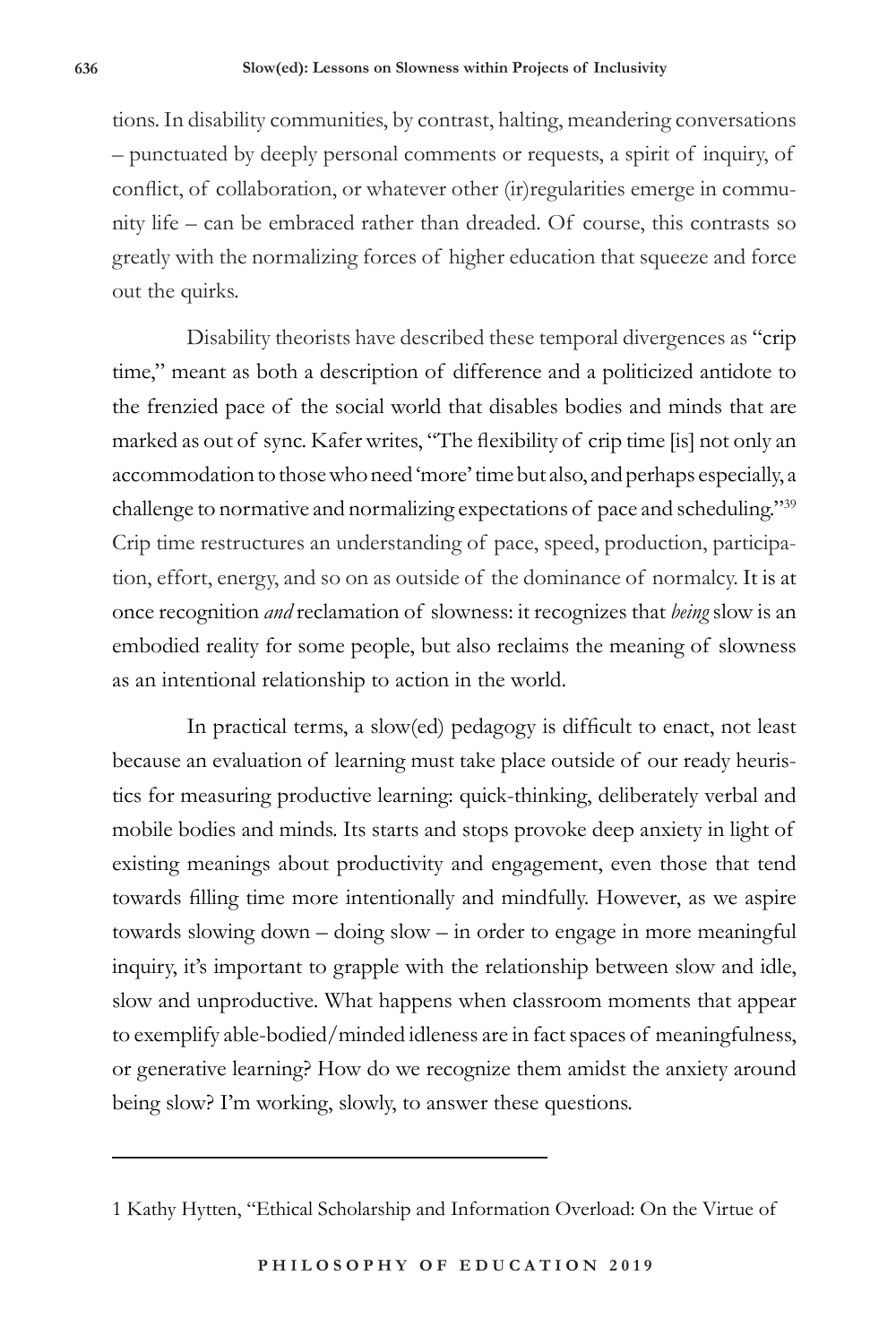tions. In disability communities, by contrast, halting, meandering conversations – punctuated by deeply personal comments or requests, a spirit of inquiry, of conflict, of collaboration, or whatever other (ir)regularities emerge in community life – can be embraced rather than dreaded. Of course, this contrasts so greatly with the normalizing forces of higher education that squeeze and force out the quirks.

Disability theorists have described these temporal divergences as "crip time," meant as both a description of difference and a politicized antidote to the frenzied pace of the social world that disables bodies and minds that are marked as out of sync. Kafer writes, "The flexibility of crip time [is] not only an accommodation to those who need 'more' time but also, and perhaps especially, a challenge to normative and normalizing expectations of pace and scheduling."39 Crip time restructures an understanding of pace, speed, production, participation, effort, energy, and so on as outside of the dominance of normalcy. It is at once recognition *and* reclamation of slowness: it recognizes that *being* slow is an embodied reality for some people, but also reclaims the meaning of slowness as an intentional relationship to action in the world.

In practical terms, a slow(ed) pedagogy is difficult to enact, not least because an evaluation of learning must take place outside of our ready heuristics for measuring productive learning: quick-thinking, deliberately verbal and mobile bodies and minds. Its starts and stops provoke deep anxiety in light of existing meanings about productivity and engagement, even those that tend towards filling time more intentionally and mindfully. However, as we aspire towards slowing down – doing slow – in order to engage in more meaningful inquiry, it's important to grapple with the relationship between slow and idle, slow and unproductive. What happens when classroom moments that appear to exemplify able-bodied/minded idleness are in fact spaces of meaningfulness, or generative learning? How do we recognize them amidst the anxiety around being slow? I'm working, slowly, to answer these questions.

<sup>1</sup> Kathy Hytten, "Ethical Scholarship and Information Overload: On the Virtue of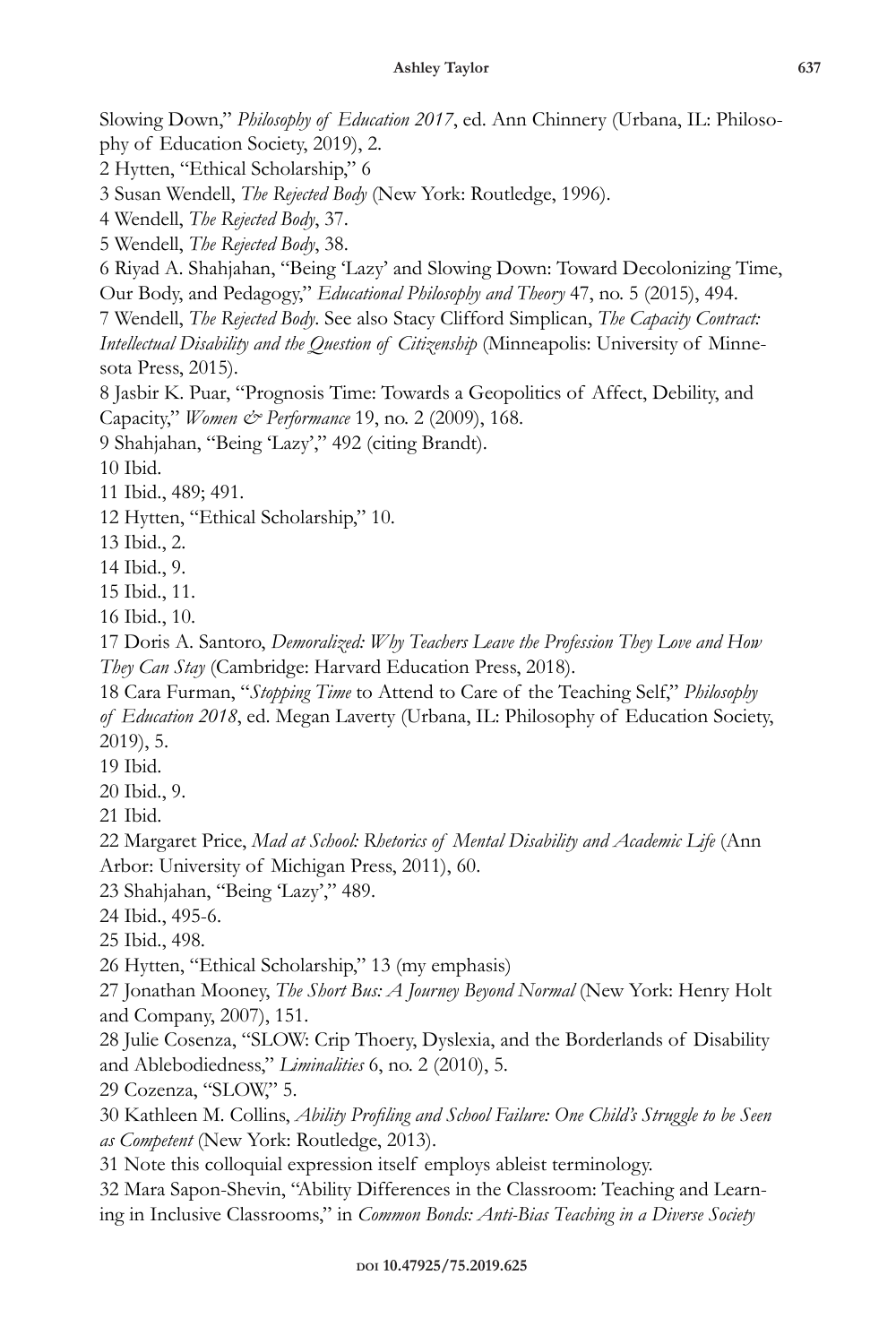Slowing Down," *Philosophy of Education 2017*, ed. Ann Chinnery (Urbana, IL: Philosophy of Education Society, 2019), 2.

2 Hytten, "Ethical Scholarship," 6

3 Susan Wendell, *The Rejected Body* (New York: Routledge, 1996).

4 Wendell, *The Rejected Body*, 37.

5 Wendell, *The Rejected Body*, 38.

6 Riyad A. Shahjahan, "Being 'Lazy' and Slowing Down: Toward Decolonizing Time, Our Body, and Pedagogy," *Educational Philosophy and Theory* 47, no. 5 (2015), 494.

7 Wendell, *The Rejected Body*. See also Stacy Clifford Simplican, *The Capacity Contract:* 

*Intellectual Disability and the Question of Citizenship* (Minneapolis: University of Minnesota Press, 2015).

8 Jasbir K. Puar, "Prognosis Time: Towards a Geopolitics of Affect, Debility, and Capacity," *Women & Performance* 19, no. 2 (2009), 168.

9 Shahjahan, "Being 'Lazy'," 492 (citing Brandt).

10 Ibid.

11 Ibid., 489; 491.

12 Hytten, "Ethical Scholarship," 10.

13 Ibid., 2.

14 Ibid., 9.

15 Ibid., 11.

16 Ibid., 10.

17 Doris A. Santoro, *Demoralized: Why Teachers Leave the Profession They Love and How They Can Stay* (Cambridge: Harvard Education Press, 2018).

18 Cara Furman, "*Stopping Time* to Attend to Care of the Teaching Self," *Philosophy of Education 2018*, ed. Megan Laverty (Urbana, IL: Philosophy of Education Society, 2019), 5.

19 Ibid.

20 Ibid., 9.

21 Ibid.

22 Margaret Price, *Mad at School: Rhetorics of Mental Disability and Academic Life* (Ann Arbor: University of Michigan Press, 2011), 60.

23 Shahjahan, "Being 'Lazy'," 489.

24 Ibid., 495-6.

25 Ibid., 498.

26 Hytten, "Ethical Scholarship," 13 (my emphasis)

27 Jonathan Mooney, *The Short Bus: A Journey Beyond Normal* (New York: Henry Holt and Company, 2007), 151.

28 Julie Cosenza, "SLOW: Crip Thoery, Dyslexia, and the Borderlands of Disability and Ablebodiedness," *Liminalities* 6, no. 2 (2010), 5.

29 Cozenza, "SLOW," 5.

30 Kathleen M. Collins, *Ability Profiling and School Failure: One Child's Struggle to be Seen as Competent* (New York: Routledge, 2013).

31 Note this colloquial expression itself employs ableist terminology.

32 Mara Sapon-Shevin, "Ability Differences in the Classroom: Teaching and Learning in Inclusive Classrooms," in *Common Bonds: Anti-Bias Teaching in a Diverse Society*